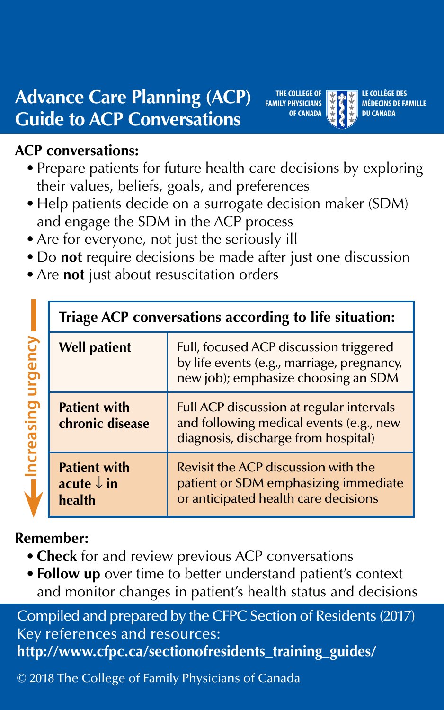**Advance Care Planning (ACP) Guide to ACP Conversations** 

#### **ACP conversations:**

- Prepare patients for future health care decisions by exploring their values, beliefs, goals, and preferences
- Help patients decide on a surrogate decision maker (SDM) and engage the SDM in the ACP process
- Are for everyone, not just the seriously ill
- Do **not** require decisions be made after just one discussion
- Are **not** just about resuscitation orders

|  | Triage ACP conversations according to life situation:  |                                                                                                                             |
|--|--------------------------------------------------------|-----------------------------------------------------------------------------------------------------------------------------|
|  | <b>Well patient</b>                                    | Full, focused ACP discussion triggered<br>by life events (e.g., marriage, pregnancy,<br>new job); emphasize choosing an SDM |
|  | <b>Patient with</b><br>chronic disease                 | Full ACP discussion at regular intervals<br>and following medical events (e.g., new<br>diagnosis, discharge from hospital)  |
|  | <b>Patient with</b><br>acute $\downarrow$ in<br>health | Revisit the ACP discussion with the<br>patient or SDM emphasizing immediate<br>or anticipated health care decisions         |

**Remember:** 

- **Check** for and review previous ACP conversations
- **Follow up** over time to better understand patient's context and monitor changes in patient's health status and decisions

Compiled and prepared by the CFPC Section of Residents (2017) Key references and resources: **[http://www.cfpc.ca/sectionofresidents\\_training\\_guides](http://www.cfpc.ca/sectionofresidents_training_guides)/** 

© 2018 The College of Family Physicians of Canada